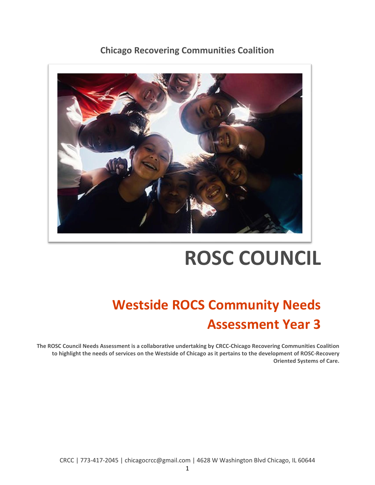## **Chicago Recovering Communities Coalition**



# **ROSC COUNCIL**

## **Westside ROCS Community Needs Assessment Year 3**

**The ROSC Council Needs Assessment is a collaborative undertaking by CRCC-Chicago Recovering Communities Coalition to highlight the needs of services on the Westside of Chicago as it pertains to the development of ROSC-Recovery Oriented Systems of Care.**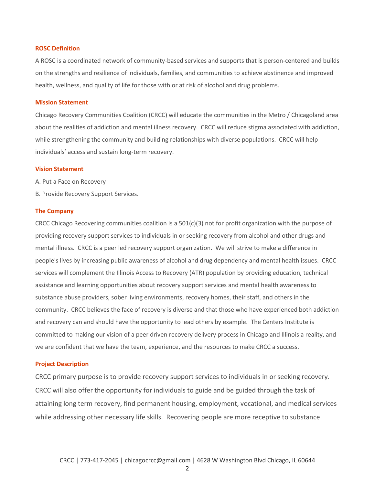#### **ROSC Definition**

A ROSC is a coordinated network of community-based services and supports that is person-centered and builds on the strengths and resilience of individuals, families, and communities to achieve abstinence and improved health, wellness, and quality of life for those with or at risk of alcohol and drug problems.

#### **Mission Statement**

Chicago Recovery Communities Coalition (CRCC) will educate the communities in the Metro / Chicagoland area about the realities of addiction and mental illness recovery. CRCC will reduce stigma associated with addiction, while strengthening the community and building relationships with diverse populations. CRCC will help individuals' access and sustain long-term recovery.

#### **Vision Statement**

A. Put a Face on Recovery

B. Provide Recovery Support Services.

#### **The Company**

CRCC Chicago Recovering communities coalition is a  $501(c)(3)$  not for profit organization with the purpose of providing recovery support services to individuals in or seeking recovery from alcohol and other drugs and mental illness. CRCC is a peer led recovery support organization. We will strive to make a difference in people's lives by increasing public awareness of alcohol and drug dependency and mental health issues. CRCC services will complement the Illinois Access to Recovery (ATR) population by providing education, technical assistance and learning opportunities about recovery support services and mental health awareness to substance abuse providers, sober living environments, recovery homes, their staff, and others in the community. CRCC believes the face of recovery is diverse and that those who have experienced both addiction and recovery can and should have the opportunity to lead others by example. The Centers Institute is committed to making our vision of a peer driven recovery delivery process in Chicago and Illinois a reality, and we are confident that we have the team, experience, and the resources to make CRCC a success.

#### **Project Description**

CRCC primary purpose is to provide recovery support services to individuals in or seeking recovery. CRCC will also offer the opportunity for individuals to guide and be guided through the task of attaining long term recovery, find permanent housing, employment, vocational, and medical services while addressing other necessary life skills. Recovering people are more receptive to substance

2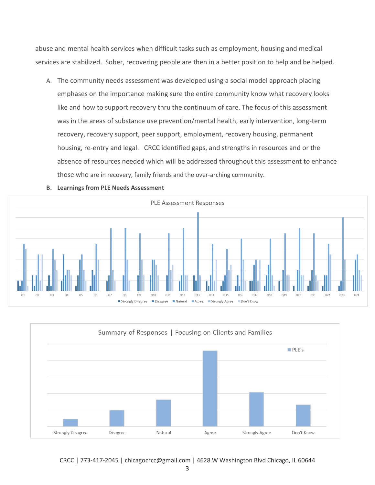abuse and mental health services when difficult tasks such as employment, housing and medical services are stabilized. Sober, recovering people are then in a better position to help and be helped.

A. The community needs assessment was developed using a social model approach placing emphases on the importance making sure the entire community know what recovery looks like and how to support recovery thru the continuum of care. The focus of this assessment was in the areas of substance use prevention/mental health, early intervention, long-term recovery, recovery support, peer support, employment, recovery housing, permanent housing, re-entry and legal. CRCC identified gaps, and strengths in resources and or the absence of resources needed which will be addressed throughout this assessment to enhance those who are in recovery, family friends and the over-arching community.





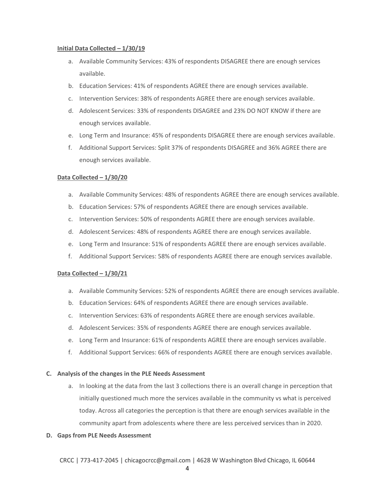#### **Initial Data Collected – 1/30/19**

- a. Available Community Services: 43% of respondents DISAGREE there are enough services available.
- b. Education Services: 41% of respondents AGREE there are enough services available.
- c. Intervention Services: 38% of respondents AGREE there are enough services available.
- d. Adolescent Services: 33% of respondents DISAGREE and 23% DO NOT KNOW if there are enough services available.
- e. Long Term and Insurance: 45% of respondents DISAGREE there are enough services available.
- f. Additional Support Services: Split 37% of respondents DISAGREE and 36% AGREE there are enough services available.

#### **Data Collected – 1/30/20**

- a. Available Community Services: 48% of respondents AGREE there are enough services available.
- b. Education Services: 57% of respondents AGREE there are enough services available.
- c. Intervention Services: 50% of respondents AGREE there are enough services available.
- d. Adolescent Services: 48% of respondents AGREE there are enough services available.
- e. Long Term and Insurance: 51% of respondents AGREE there are enough services available.
- f. Additional Support Services: 58% of respondents AGREE there are enough services available.

#### **Data Collected – 1/30/21**

- a. Available Community Services: 52% of respondents AGREE there are enough services available.
- b. Education Services: 64% of respondents AGREE there are enough services available.
- c. Intervention Services: 63% of respondents AGREE there are enough services available.
- d. Adolescent Services: 35% of respondents AGREE there are enough services available.
- e. Long Term and Insurance: 61% of respondents AGREE there are enough services available.
- f. Additional Support Services: 66% of respondents AGREE there are enough services available.

#### **C. Analysis of the changes in the PLE Needs Assessment**

a. In looking at the data from the last 3 collections there is an overall change in perception that initially questioned much more the services available in the community vs what is perceived today. Across all categories the perception is that there are enough services available in the community apart from adolescents where there are less perceived services than in 2020.

#### **D. Gaps from PLE Needs Assessment**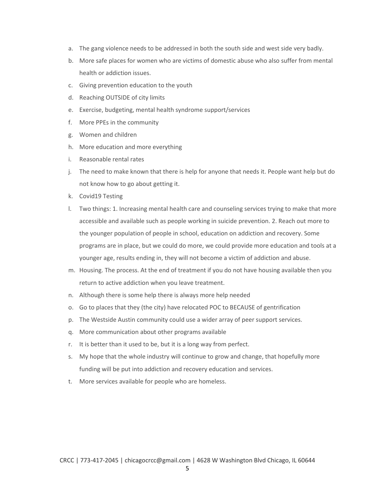- a. The gang violence needs to be addressed in both the south side and west side very badly.
- b. More safe places for women who are victims of domestic abuse who also suffer from mental health or addiction issues.
- c. Giving prevention education to the youth
- d. Reaching OUTSIDE of city limits
- e. Exercise, budgeting, mental health syndrome support/services
- f. More PPEs in the community
- g. Women and children
- h. More education and more everything
- i. Reasonable rental rates
- j. The need to make known that there is help for anyone that needs it. People want help but do not know how to go about getting it.
- k. Covid19 Testing
- l. Two things: 1. Increasing mental health care and counseling services trying to make that more accessible and available such as people working in suicide prevention. 2. Reach out more to the younger population of people in school, education on addiction and recovery. Some programs are in place, but we could do more, we could provide more education and tools at a younger age, results ending in, they will not become a victim of addiction and abuse.
- m. Housing. The process. At the end of treatment if you do not have housing available then you return to active addiction when you leave treatment.
- n. Although there is some help there is always more help needed
- o. Go to places that they (the city) have relocated POC to BECAUSE of gentrification
- p. The Westside Austin community could use a wider array of peer support services.
- q. More communication about other programs available
- r. It is better than it used to be, but it is a long way from perfect.
- s. My hope that the whole industry will continue to grow and change, that hopefully more funding will be put into addiction and recovery education and services.
- t. More services available for people who are homeless.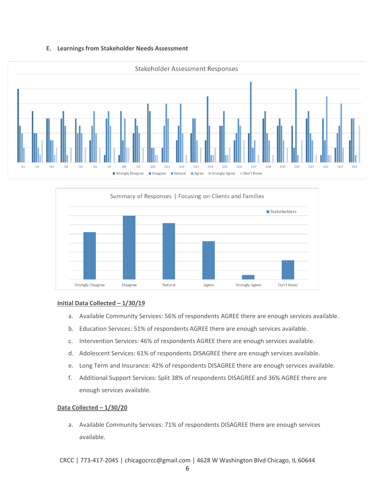#### **E. Learnings from Stakeholder Needs Assessment**





#### **Initial Data Collected – 1/30/19**

- a. Available Community Services: 56% of respondents AGREE there are enough services available.
- b. Education Services: 51% of respondents AGREE there are enough services available.
- c. Intervention Services: 46% of respondents AGREE there are enough services available.
- d. Adolescent Services: 61% of respondents DISAGREE there are enough services available.
- e. Long Term and Insurance: 42% of respondents DISAGREE there are enough services available.
- f. Additional Support Services: Split 38% of respondents DISAGREE and 36% AGREE there are enough services available.

#### **Data Collected – 1/30/20**

a. Available Community Services: 71% of respondents DISAGREE there are enough services available.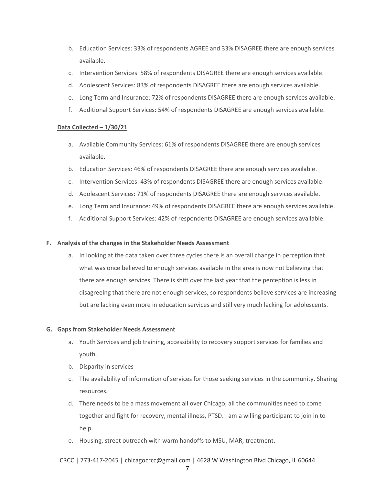- b. Education Services: 33% of respondents AGREE and 33% DISAGREE there are enough services available.
- c. Intervention Services: 58% of respondents DISAGREE there are enough services available.
- d. Adolescent Services: 83% of respondents DISAGREE there are enough services available.
- e. Long Term and Insurance: 72% of respondents DISAGREE there are enough services available.
- f. Additional Support Services: 54% of respondents DISAGREE are enough services available.

#### **Data Collected – 1/30/21**

- a. Available Community Services: 61% of respondents DISAGREE there are enough services available.
- b. Education Services: 46% of respondents DISAGREE there are enough services available.
- c. Intervention Services: 43% of respondents DISAGREE there are enough services available.
- d. Adolescent Services: 71% of respondents DISAGREE there are enough services available.
- e. Long Term and Insurance: 49% of respondents DISAGREE there are enough services available.
- f. Additional Support Services: 42% of respondents DISAGREE are enough services available.

#### **F. Analysis of the changes in the Stakeholder Needs Assessment**

a. In looking at the data taken over three cycles there is an overall change in perception that what was once believed to enough services available in the area is now not believing that there are enough services. There is shift over the last year that the perception is less in disagreeing that there are not enough services, so respondents believe services are increasing but are lacking even more in education services and still very much lacking for adolescents.

#### **G. Gaps from Stakeholder Needs Assessment**

- a. Youth Services and job training, accessibility to recovery support services for families and youth.
- b. Disparity in services
- c. The availability of information of services for those seeking services in the community. Sharing resources.
- d. There needs to be a mass movement all over Chicago, all the communities need to come together and fight for recovery, mental illness, PTSD. I am a willing participant to join in to help.
- e. Housing, street outreach with warm handoffs to MSU, MAR, treatment.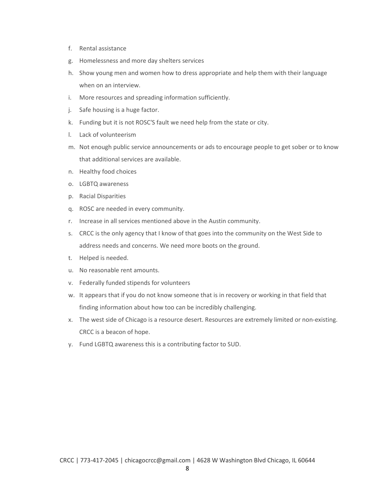- f. Rental assistance
- g. Homelessness and more day shelters services
- h. Show young men and women how to dress appropriate and help them with their language when on an interview.
- i. More resources and spreading information sufficiently.
- j. Safe housing is a huge factor.
- k. Funding but it is not ROSC'S fault we need help from the state or city.
- l. Lack of volunteerism
- m. Not enough public service announcements or ads to encourage people to get sober or to know that additional services are available.
- n. Healthy food choices
- o. LGBTQ awareness
- p. Racial Disparities
- q. ROSC are needed in every community.
- r. Increase in all services mentioned above in the Austin community.
- s. CRCC is the only agency that I know of that goes into the community on the West Side to address needs and concerns. We need more boots on the ground.
- t. Helped is needed.
- u. No reasonable rent amounts.
- v. Federally funded stipends for volunteers
- w. It appears that if you do not know someone that is in recovery or working in that field that finding information about how too can be incredibly challenging.
- x. The west side of Chicago is a resource desert. Resources are extremely limited or non-existing. CRCC is a beacon of hope.
- y. Fund LGBTQ awareness this is a contributing factor to SUD.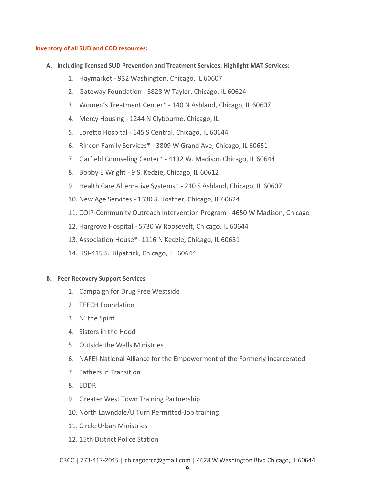#### **Inventory of all SUD and COD resources:**

- **A. Including licensed SUD Prevention and Treatment Services: Highlight MAT Services:**
	- 1. Haymarket 932 Washington, Chicago, IL 60607
	- 2. Gateway Foundation 3828 W Taylor, Chicago, IL 60624
	- 3. Women's Treatment Center\* 140 N Ashland, Chicago, IL 60607
	- 4. Mercy Housing 1244 N Clybourne, Chicago, IL
	- 5. Loretto Hospital 645 S Central, Chicago, IL 60644
	- 6. Rincon Family Services\* 3809 W Grand Ave, Chicago, IL 60651
	- 7. Garfield Counseling Center\* 4132 W. Madison Chicago, IL 60644
	- 8. Bobby E Wright 9 S. Kedzie, Chicago, IL 60612
	- 9. Health Care Alternative Systems\* 210 S Ashland, Chicago, IL 60607
	- 10. New Age Services 1330 S. Kostner, Chicago, IL 60624
	- 11. COIP-Community Outreach Intervention Program 4650 W Madison, Chicago
	- 12. Hargrove Hospital 5730 W Roosevelt, Chicago, IL 60644
	- 13. Association House\*- 1116 N Kedzie, Chicago, IL 60651
	- 14. HSI-415 S. Kilpatrick, Chicago, IL 60644

#### **B. Peer Recovery Support Services**

- 1. Campaign for Drug Free Westside
- 2. TEECH Foundation
- 3. N' the Spirit
- 4. Sisters in the Hood
- 5. Outside the Walls Ministries
- 6. NAFEI-National Alliance for the Empowerment of the Formerly Incarcerated
- 7. Fathers in Transition
- 8. EDDR
- 9. Greater West Town Training Partnership
- 10. North Lawndale/U Turn Permitted-Job training
- 11. Circle Urban Ministries
- 12. 15th District Police Station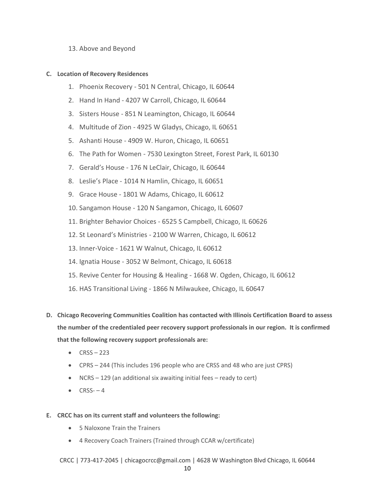#### 13. Above and Beyond

#### **C. Location of Recovery Residences**

- 1. Phoenix Recovery 501 N Central, Chicago, IL 60644
- 2. Hand In Hand 4207 W Carroll, Chicago, IL 60644
- 3. Sisters House 851 N Leamington, Chicago, IL 60644
- 4. Multitude of Zion 4925 W Gladys, Chicago, IL 60651
- 5. Ashanti House 4909 W. Huron, Chicago, IL 60651
- 6. The Path for Women 7530 Lexington Street, Forest Park, IL 60130
- 7. Gerald's House 176 N LeClair, Chicago, IL 60644
- 8. Leslie's Place 1014 N Hamlin, Chicago, IL 60651
- 9. Grace House 1801 W Adams, Chicago, IL 60612
- 10. Sangamon House 120 N Sangamon, Chicago, IL 60607
- 11. Brighter Behavior Choices 6525 S Campbell, Chicago, IL 60626
- 12. St Leonard's Ministries 2100 W Warren, Chicago, IL 60612
- 13. Inner-Voice 1621 W Walnut, Chicago, IL 60612
- 14. Ignatia House 3052 W Belmont, Chicago, IL 60618
- 15. Revive Center for Housing & Healing 1668 W. Ogden, Chicago, IL 60612
- 16. HAS Transitional Living 1866 N Milwaukee, Chicago, IL 60647
- **D. Chicago Recovering Communities Coalition has contacted with Illinois Certification Board to assess the number of the credentialed peer recovery support professionals in our region. It is confirmed that the following recovery support professionals are:**
	- $\bullet$  CRSS 223
	- CPRS 244 (This includes 196 people who are CRSS and 48 who are just CPRS)
	- NCRS 129 (an additional six awaiting initial fees ready to cert)
	- $\bullet$  CRSS--4
- **E. CRCC has on its current staff and volunteers the following:**
	- 5 Naloxone Train the Trainers
	- 4 Recovery Coach Trainers (Trained through CCAR w/certificate)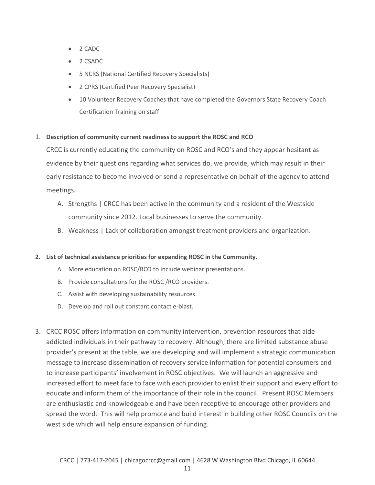- 2 CADC
- 2 CSADC
- 5 NCRS (National Certified Recovery Specialists)
- 2 CPRS (Certified Peer Recovery Specialist)
- 10 Volunteer Recovery Coaches that have completed the Governors State Recovery Coach Certification Training on staff

#### 1. **Description of community current readiness to support the ROSC and RCO**

CRCC is currently educating the community on ROSC and RCO's and they appear hesitant as evidence by their questions regarding what services do, we provide, which may result in their early resistance to become involved or send a representative on behalf of the agency to attend meetings.

- A. Strengths | CRCC has been active in the community and a resident of the Westside community since 2012. Local businesses to serve the community.
- B. Weakness | Lack of collaboration amongst treatment providers and organization.

#### **2. List of technical assistance priorities for expanding ROSC in the Community.**

- A. More education on ROSC/RCO to include webinar presentations.
- B. Provide consultations for the ROSC /RCO providers.
- C. Assist with developing sustainability resources.
- D. Develop and roll out constant contact e-blast.
- 3. CRCC ROSC offers information on community intervention, prevention resources that aide addicted individuals in their pathway to recovery. Although, there are limited substance abuse provider's present at the table, we are developing and will implement a strategic communication message to increase dissemination of recovery service information for potential consumers and to increase participants' involvement in ROSC objectives. We will launch an aggressive and increased effort to meet face to face with each provider to enlist their support and every effort to educate and inform them of the importance of their role in the council. Present ROSC Members are enthusiastic and knowledgeable and have been receptive to encourage other providers and spread the word. This will help promote and build interest in building other ROSC Councils on the west side which will help ensure expansion of funding.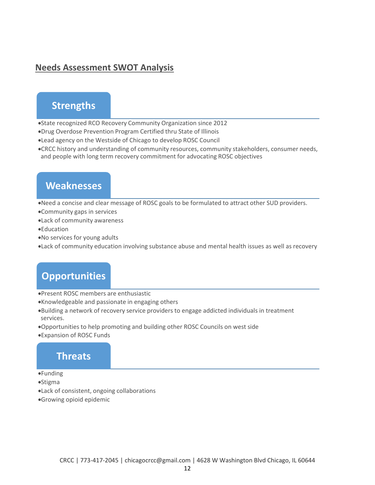## **Needs Assessment SWOT Analysis**

## **Strengths**

•State recognized RCO Recovery Community Organization since 2012 •Drug Overdose Prevention Program Certified thru State of Illinois

- •Lead agency on the Westside of Chicago to develop ROSC Council
- •CRCC history and understanding of community resources, community stakeholders, consumer needs, and people with long term recovery commitment for advocating ROSC objectives

## **Weaknesses**

•Need a concise and clear message of ROSC goals to be formulated to attract other SUD providers.

- •Community gaps in services
- •Lack of community awareness
- •Education
- •No services for young adults

•Lack of community education involving substance abuse and mental health issues as well as recovery

## **Opportunities**

•Present ROSC members are enthusiastic

- •Knowledgeable and passionate in engaging others
- •Building a network of recovery service providers to engage addicted individuals in treatment services.
- •Opportunities to help promoting and building other ROSC Councils on west side
- •Expansion of ROSC Funds

### **Threats**

- •Funding
- •Stigma
- •Lack of consistent, ongoing collaborations
- •Growing opioid epidemic